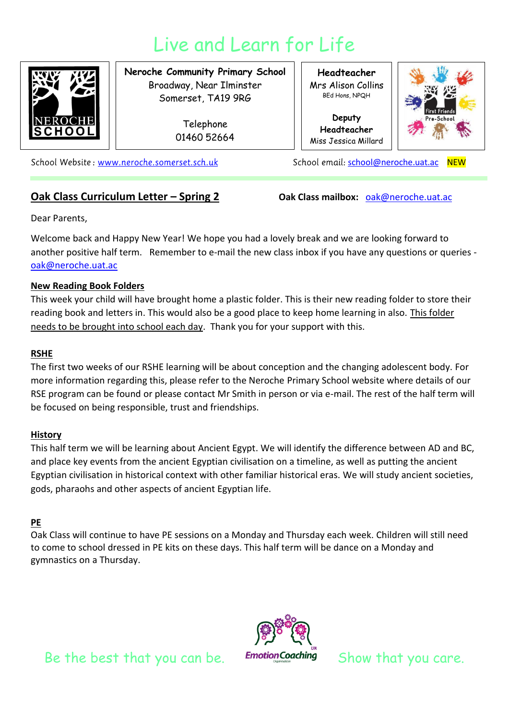# Live and Learn for Life



**Neroche Community Primary School** Broadway, Near Ilminster Somerset, TA19 9RG

> Telephone 01460 52664

**Headteacher** Mrs Alison Collins BEd Hons, NPQH

**Deputy Headteacher** Miss Jessica Millard



School Website: www.neroche.somerset.sch.uk

## **Oak Class Curriculum Letter – Spring 2 Oak Class mailbox: oak@neroche.uat.ac**

School email: [school@neroche.uat.ac](mailto:school@neroche.uat.ac) NEW

Dear Parents,

Welcome back and Happy New Year! We hope you had a lovely break and we are looking forward to another positive half term. Remember to e-mail the new class inbox if you have any questions or queries [oak@neroche.uat.ac](mailto:oak@neroche.uat.ac)

#### **New Reading Book Folders**

This week your child will have brought home a plastic folder. This is their new reading folder to store their reading book and letters in. This would also be a good place to keep home learning in also. This folder needs to be brought into school each day. Thank you for your support with this.

#### **RSHE**

The first two weeks of our RSHE learning will be about conception and the changing adolescent body. For more information regarding this, please refer to the Neroche Primary School website where details of our RSE program can be found or please contact Mr Smith in person or via e-mail. The rest of the half term will be focused on being responsible, trust and friendships.

## **History**

This half term we will be learning about Ancient Egypt. We will identify the difference between AD and BC, and place key events from the ancient Egyptian civilisation on a timeline, as well as putting the ancient Egyptian civilisation in historical context with other familiar historical eras. We will study ancient societies, gods, pharaohs and other aspects of ancient Egyptian life.

## **PE**

Oak Class will continue to have PE sessions on a Monday and Thursday each week. Children will still need to come to school dressed in PE kits on these days. This half term will be dance on a Monday and gymnastics on a Thursday.